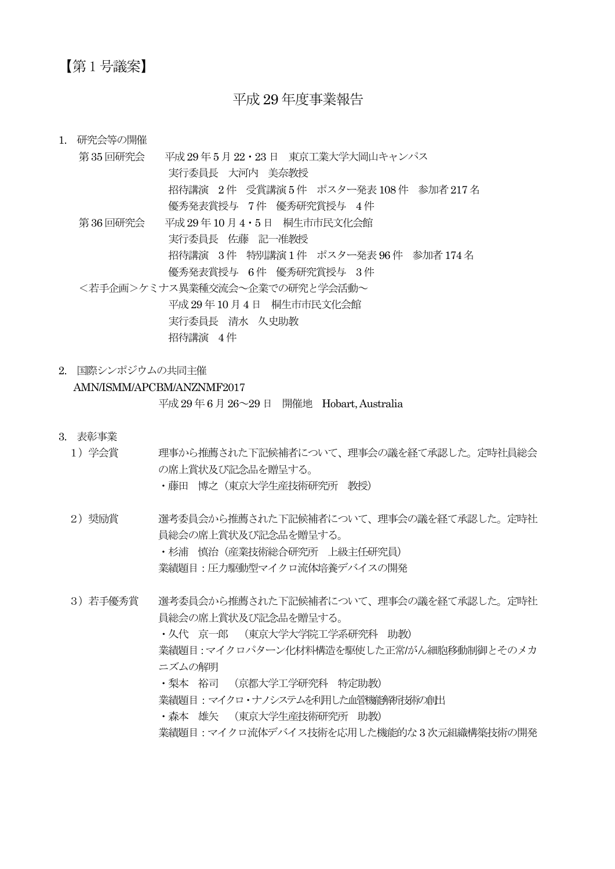## 【第 1 号議案】

## 平成 29 年度事業報告

1. 研究会等の開催

## 第35 回研究会 平成29 年5 月22・23 日 東京工業大学大岡山キャンパス 実行委員長 大河内 美奈教授 招待講演 2 件 受賞講演5 件 ポスター発表108 件 参加者217 名 優秀発表賞授与 7 件 優秀研究賞授与 4 件 第36 回研究会 平成29 年10 月4・5 日 桐生市市民文化会館 実行委員長 佐藤 記一准教授 招待講演 3 件 特別講演1 件 ポスター発表96 件 参加者174 名 優秀発表賞授与 6 件 優秀研究賞授与 3 件 <若手企画>ケミナス異業種交流会~企業での研究と学会活動~ 平成29 年10 月4 日 桐生市市民文化会館 実行委員長 清水 久史助教

招待講演 4 件

2. 国際シンポジウムの共同主催

## AMN/ISMM/APCBM/ANZNMF2017

平成29 年6 月26~29 日 開催地 Hobart, Australia

- 3. 表彰事業
	- 1)学会賞 理事から推薦された下記候補者について、理事会の議を経て承認した。定時社員総会 の席上賞状及び記念品を贈呈する。

・藤田 博之(東京大学生産技術研究所 教授)

2) 奨励賞 する選考委員会から推薦された下記候補者について、理事会の議を経て承認した。定時社 員総会の席上賞状及び記念品を贈呈する。

・杉浦 慎治(産業技術総合研究所 上級主任研究員)

業績題目:圧力駆動型マイクロ流体培養デバイスの開発

3) 若手優秀賞 選考委員会から推薦された下記候補者について、理事会の議を経て承認した。定時社 員総会の席上賞状及び記念品を贈呈する。

> ・久代 京一郎 (東京大学大学院工学系研究科 助教) 業績題目:マイクロパターン化材料構造を駆使した正常/がん細胞移動制御とそのメカ ニズムの解明

・梨本 裕司 (京都大学工学研究科 特定助教)

業績題目:マイクロ・ナノシステムを利用した血管機能解析技術の創出

・森本 雄矢 (東京大学生産技術研究所 助教)

業績題目:マイクロ流体デバイス技術を応用した機能的な3 次元組織構築技術の開発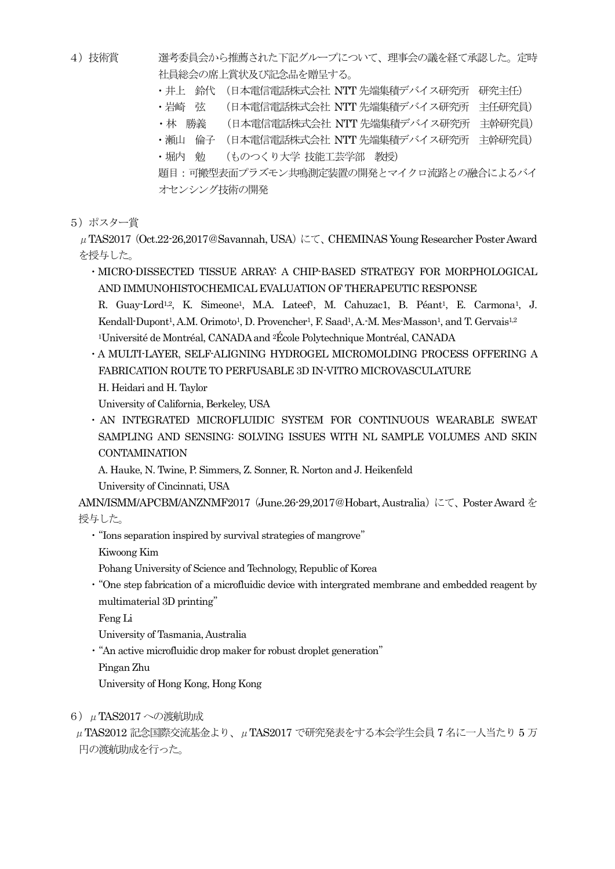- 4)技術賞 選考委員会から推薦された下記グループについて、理事会の議を経て承認した。定時 社員総会の席上賞状及び記念品を贈呈する。
	- ・井上 鈴代 (日本電信電話株式会社 NTT 先端集積デバイス研究所 研究主任)
	- ·岩崎 弦 (日本電信電話株式会社 NTT 先端集積デバイス研究所 主任研究員)
	- ・林 勝義 (日本電信電話株式会社 NTT 先端集積デバイス研究所 主幹研究員)
	- ・瀬山 倫子 (日本電信電話株式会社 NTT 先端集積デバイス研究所 主幹研究員)
	- ・堀内 勉 (ものつくり大学 技能工芸学部 教授)

題目:可搬型表面プラズモン共鳴測定装置の開発とマイクロ流路との融合によるバイ オセンシング技術の開発

5)ポスター賞

 $\mu$  TAS2017 (Oct.22-26,2017@Savannah, USA) にて、CHEMINAS Young Researcher Poster Award を授与した。

・MICRO-DISSECTED TISSUE ARRAY: A CHIP-BASED STRATEGY FOR MORPHOLOGICAL AND IMMUNOHISTOCHEMICAL EVALUATION OF THERAPEUTIC RESPONSE

R. Guay-Lord<sup>1,2</sup>, K. Simeone<sup>1</sup>, M.A. Lateef<sup>1</sup>, M. Cahuzac1, B. Péant<sup>1</sup>, E. Carmona<sup>1</sup>, J. Kendall-Dupont<sup>1</sup>, A.M. Orimoto<sup>1</sup>, D. Provencher<sup>1</sup>, F. Saad<sup>1</sup>, A.-M. Mes-Masson<sup>1</sup>, and T. Gervais<sup>1,2</sup> <sup>1</sup>Université de Montréal, CANADA and 2École Polytechnique Montréal, CANADA

・A MULTI-LAYER, SELF-ALIGNING HYDROGEL MICROMOLDING PROCESS OFFERING A FABRICATION ROUTE TO PERFUSABLE 3D IN-VITRO MICROVASCULATURE H. Heidari and H. Taylor

University of California, Berkeley, USA

・AN INTEGRATED MICROFLUIDIC SYSTEM FOR CONTINUOUS WEARABLE SWEAT SAMPLING AND SENSING: SOLVING ISSUES WITH NL SAMPLE VOLUMES AND SKIN **CONTAMINATION** 

A. Hauke, N. Twine, P. Simmers, Z. Sonner, R. Norton and J. Heikenfeld

University of Cincinnati, USA

AMN/ISMM/APCBM/ANZNMF2017 (June.26-29,2017@Hobart, Australia)にて、Poster Award を 授与した。

・"Ions separation inspired by survival strategies of mangrove"

Kiwoong Kim

Pohang University of Science and Technology, Republic of Korea

・"One step fabrication of a microfluidic device with intergrated membrane and embedded reagent by multimaterial 3D printing"

Feng Li

University of Tasmania, Australia

・"An active microfluidic drop maker for robust droplet generation"

Pingan Zhu

University of Hong Kong, Hong Kong

6)μTAS2017 への渡航助成

 μTAS2012 記念国際交流基金より、μTAS2017 で研究発表をする本会学生会員 7 名に一人当たり 5 万 円の渡航助成を行った。